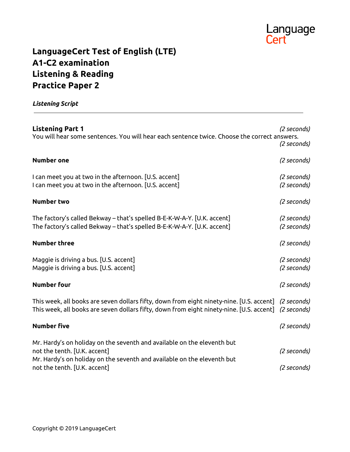

# **LanguageCert Test of English (LTE) A1-C2 examination Listening & Reading Practice Paper 2**

*Listening Script*

| <b>Listening Part 1</b><br>You will hear some sentences. You will hear each sentence twice. Choose the correct answers.                                                                                            | (2 seconds)<br>(2 seconds) |
|--------------------------------------------------------------------------------------------------------------------------------------------------------------------------------------------------------------------|----------------------------|
| <b>Number one</b>                                                                                                                                                                                                  | (2 seconds)                |
| I can meet you at two in the afternoon. [U.S. accent]<br>I can meet you at two in the afternoon. [U.S. accent]                                                                                                     | (2 seconds)<br>(2 seconds) |
| <b>Number two</b>                                                                                                                                                                                                  | (2 seconds)                |
| The factory's called Bekway - that's spelled B-E-K-W-A-Y. [U.K. accent]<br>The factory's called Bekway – that's spelled B-E-K-W-A-Y. [U.K. accent]                                                                 | (2 seconds)<br>(2 seconds) |
| <b>Number three</b>                                                                                                                                                                                                | (2 seconds)                |
| Maggie is driving a bus. [U.S. accent]<br>Maggie is driving a bus. [U.S. accent]                                                                                                                                   | (2 seconds)<br>(2 seconds) |
| <b>Number four</b>                                                                                                                                                                                                 | (2 seconds)                |
| This week, all books are seven dollars fifty, down from eight ninety-nine. [U.S. accent] (2 seconds)<br>This week, all books are seven dollars fifty, down from eight ninety-nine. [U.S. accent] (2 seconds)       |                            |
| <b>Number five</b>                                                                                                                                                                                                 | (2 seconds)                |
| Mr. Hardy's on holiday on the seventh and available on the eleventh but<br>not the tenth. [U.K. accent]<br>Mr. Hardy's on holiday on the seventh and available on the eleventh but<br>not the tenth. [U.K. accent] | (2 seconds)<br>(2 seconds) |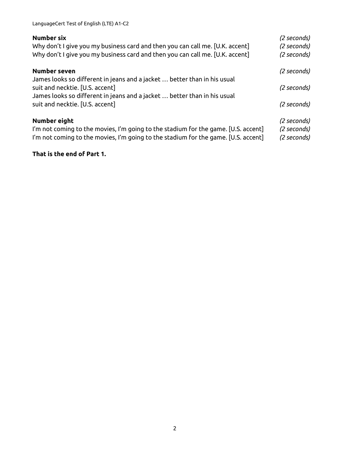| Number six<br>Why don't I give you my business card and then you can call me. [U.K. accent]<br>Why don't I give you my business card and then you can call me. [U.K. accent]             | (2 seconds)<br>(2 seconds)<br>(2 seconds) |
|------------------------------------------------------------------------------------------------------------------------------------------------------------------------------------------|-------------------------------------------|
| Number seven<br>James looks so different in jeans and a jacket  better than in his usual                                                                                                 | (2 seconds)                               |
| suit and necktie. [U.S. accent]                                                                                                                                                          | (2 seconds)                               |
| James looks so different in jeans and a jacket  better than in his usual<br>suit and necktie. [U.S. accent]                                                                              | (2 seconds)                               |
| Number eight<br>I'm not coming to the movies, I'm going to the stadium for the game. [U.S. accent]<br>I'm not coming to the movies, I'm going to the stadium for the game. [U.S. accent] | (2 seconds)<br>(2 seconds)<br>(2 seconds) |

#### **That is the end of Part 1.**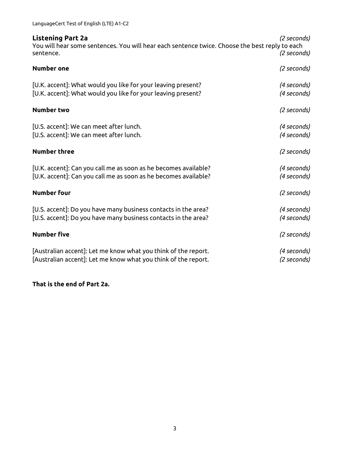| LanguageCert Test of English (LTE) A1-C2 |  |  |  |
|------------------------------------------|--|--|--|
|------------------------------------------|--|--|--|

| <b>Listening Part 2a</b><br>You will hear some sentences. You will hear each sentence twice. Choose the best reply to each<br>sentence. | (2 seconds)<br>(2 seconds) |
|-----------------------------------------------------------------------------------------------------------------------------------------|----------------------------|
| <b>Number one</b>                                                                                                                       | (2 seconds)                |
| [U.K. accent]: What would you like for your leaving present?<br>[U.K. accent]: What would you like for your leaving present?            | (4 seconds)<br>(4 seconds) |
| <b>Number two</b>                                                                                                                       | (2 seconds)                |
| [U.S. accent]: We can meet after lunch.<br>[U.S. accent]: We can meet after lunch.                                                      | (4 seconds)<br>(4 seconds) |
| <b>Number three</b>                                                                                                                     | (2 seconds)                |
| [U.K. accent]: Can you call me as soon as he becomes available?<br>[U.K. accent]: Can you call me as soon as he becomes available?      | (4 seconds)<br>(4 seconds) |
| <b>Number four</b>                                                                                                                      | (2 seconds)                |
| [U.S. accent]: Do you have many business contacts in the area?<br>[U.S. accent]: Do you have many business contacts in the area?        | (4 seconds)<br>(4 seconds) |
| <b>Number five</b>                                                                                                                      | (2 seconds)                |
| [Australian accent]: Let me know what you think of the report.<br>[Australian accent]: Let me know what you think of the report.        | (4 seconds)<br>(2 seconds) |

### **That is the end of Part 2a.**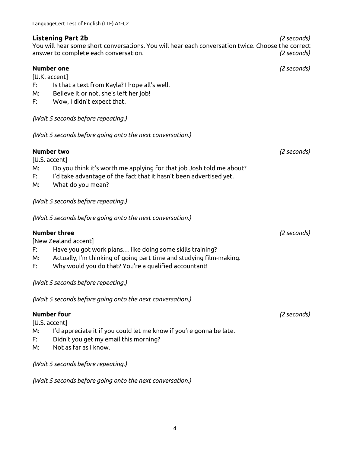#### **Listening Part 2b** *(2 seconds)*

You will hear some short conversations. You will hear each conversation twice. Choose the correct answer to complete each conversation. *(2 seconds)*

|    | Number one                                                                              | (2 seconds) |
|----|-----------------------------------------------------------------------------------------|-------------|
| F: | [U.K. accent]                                                                           |             |
| М: | Is that a text from Kayla? I hope all's well.<br>Believe it or not, she's left her job! |             |
| F: | Wow, I didn't expect that.                                                              |             |
|    |                                                                                         |             |
|    | (Wait 5 seconds before repeating.)                                                      |             |
|    | (Wait 5 seconds before going onto the next conversation.)                               |             |
|    | <b>Number two</b>                                                                       | (2 seconds) |
|    | [U.S. accent]                                                                           |             |
| М: | Do you think it's worth me applying for that job Josh told me about?                    |             |
| F: | I'd take advantage of the fact that it hasn't been advertised yet.                      |             |
| M: | What do you mean?                                                                       |             |
|    | (Wait 5 seconds before repeating.)                                                      |             |
|    | (Wait 5 seconds before going onto the next conversation.)                               |             |
|    | <b>Number three</b>                                                                     | (2 seconds) |
|    | [New Zealand accent]                                                                    |             |
| F: | Have you got work plans like doing some skills training?                                |             |
| M: | Actually, I'm thinking of going part time and studying film-making.                     |             |
| F: | Why would you do that? You're a qualified accountant!                                   |             |
|    | (Wait 5 seconds before repeating.)                                                      |             |
|    | (Wait 5 seconds before going onto the next conversation.)                               |             |
|    | Number four                                                                             | (2 seconds) |
|    | [U.S. accent]                                                                           |             |
| M: | I'd appreciate it if you could let me know if you're gonna be late.                     |             |
| F: | Didn't you get my email this morning?                                                   |             |
| M: | Not as far as I know.                                                                   |             |
|    | (Wait 5 seconds before repeating.)                                                      |             |
|    |                                                                                         |             |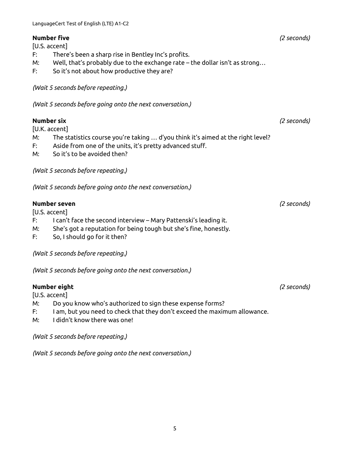#### **Number five** *(2 seconds)*

[U.S. accent]

- F: There's been a sharp rise in Bentley Inc's profits.
- M: Well, that's probably due to the exchange rate the dollar isn't as strong…
- F: So it's not about how productive they are?

*(Wait 5 seconds before repeating.)*

*(Wait 5 seconds before going onto the next conversation.)*

#### **Number six** *(2 seconds)*

[U.K. accent]

- M: The statistics course you're taking … d'you think it's aimed at the right level?
- F: Aside from one of the units, it's pretty advanced stuff.
- M: So it's to be avoided then?

*(Wait 5 seconds before repeating.)*

*(Wait 5 seconds before going onto the next conversation.)*

#### **Number seven** *(2 seconds)*

[U.S. accent]

- F: I can't face the second interview Mary Pattenski's leading it.
- M: She's got a reputation for being tough but she's fine, honestly.
- F: So, I should go for it then?

*(Wait 5 seconds before repeating.)*

*(Wait 5 seconds before going onto the next conversation.)*

#### **Number eight** *(2 seconds)*

[U.S. accent]

- M: Do you know who's authorized to sign these expense forms?
- F: I am, but you need to check that they don't exceed the maximum allowance.
- M: I didn't know there was one!

*(Wait 5 seconds before repeating.)*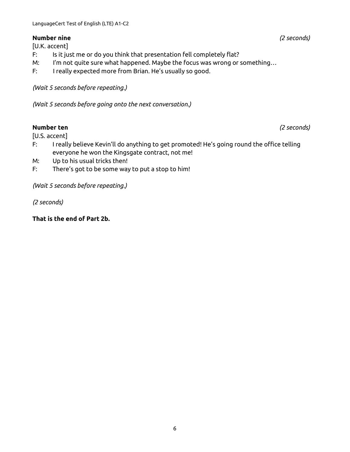#### **Number nine** *(2 seconds)*

[U.K. accent]

- F: Is it just me or do you think that presentation fell completely flat?
- M: I'm not quite sure what happened. Maybe the focus was wrong or something…
- F: I really expected more from Brian. He's usually so good.

*(Wait 5 seconds before repeating.)*

*(Wait 5 seconds before going onto the next conversation.)*

#### **Number ten** *(2 seconds)*

[U.S. accent]

- F: I really believe Kevin'll do anything to get promoted! He's going round the office telling everyone he won the Kingsgate contract, not me!
- M: Up to his usual tricks then!
- F: There's got to be some way to put a stop to him!

*(Wait 5 seconds before repeating.)*

*(2 seconds)*

**That is the end of Part 2b.**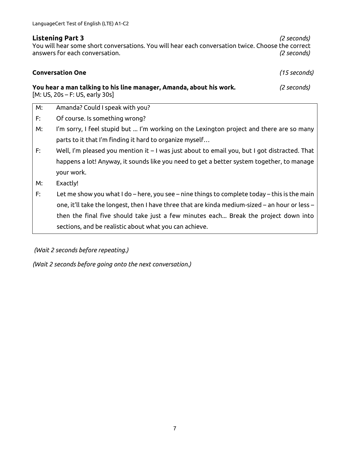**Listening Part 3** *(2 seconds)* You will hear some short conversations. You will hear each conversation twice. Choose the correct answers for each conversation. *(2 seconds)*

# **Conversation One** *(15 seconds)*

**You hear a man talking to his line manager, Amanda, about his work.** *(2 seconds)* [M: US, 20s – F: US, early 30s]

- M: Amanda? Could I speak with you?
- F: Of course. Is something wrong?
- M: I'm sorry, I feel stupid but ... I'm working on the Lexington project and there are so many parts to it that I'm finding it hard to organize myself…
- F: Well, I'm pleased you mention it I was just about to email you, but I got distracted. That happens a lot! Anyway, it sounds like you need to get a better system together, to manage your work.
- M: Exactly!
- F: Let me show you what I do here, you see nine things to complete today this is the main one, it'll take the longest, then I have three that are kinda medium-sized – an hour or less – then the final five should take just a few minutes each... Break the project down into sections, and be realistic about what you can achieve.

*(Wait 2 seconds before repeating.)*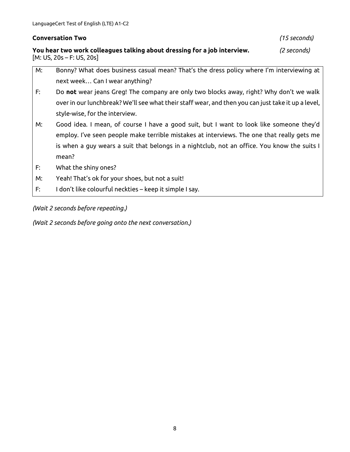#### **Conversation Two** *(15 seconds)*

**You hear two work colleagues talking about dressing for a job interview.** *(2 seconds)*  $[M: US, 20s - F: US, 20s]$ 

- M: Bonny? What does business casual mean? That's the dress policy where I'm interviewing at next week… Can I wear anything?
- F: Do **not** wear jeans Greg! The company are only two blocks away, right? Why don't we walk over in our lunchbreak? We'll see what their staff wear, and then you can just take it up a level, style-wise, for the interview.
- M: Good idea. I mean, of course I have a good suit, but I want to look like someone they'd employ. I've seen people make terrible mistakes at interviews. The one that really gets me is when a guy wears a suit that belongs in a nightclub, not an office. You know the suits I mean?
- F: What the shiny ones?
- M: Yeah! That's ok for your shoes, but not a suit!
- F: I don't like colourful neckties keep it simple I say.

*(Wait 2 seconds before repeating.)*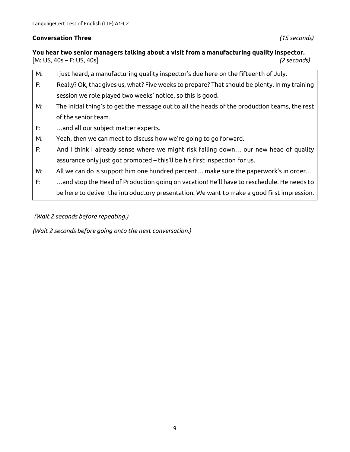#### **Conversation Three** *(15 seconds)*

**You hear two senior managers talking about a visit from a manufacturing quality inspector.** [M: US, 40s – F: US, 40s] *(2 seconds)*

- M: I just heard, a manufacturing quality inspector's due here on the fifteenth of July. F: Really? Ok, that gives us, what? Five weeks to prepare? That should be plenty. In my training session we role played two weeks' notice, so this is good. M: The initial thing's to get the message out to all the heads of the production teams, the rest of the senior team…
- F: …and all our subject matter experts.
- M: Yeah, then we can meet to discuss how we're going to go forward.
- F: And I think I already sense where we might risk falling down… our new head of quality assurance only just got promoted – this'll be his first inspection for us.
- M: All we can do is support him one hundred percent… make sure the paperwork's in order…
- F: …and stop the Head of Production going on vacation! He'll have to reschedule. He needs to be here to deliver the introductory presentation. We want to make a good first impression.

*(Wait 2 seconds before repeating.)*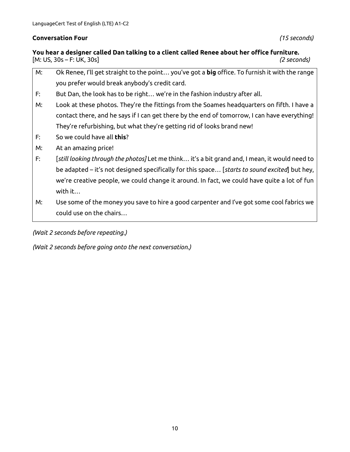#### **Conversation Four** *(15 seconds)*

#### **You hear a designer called Dan talking to a client called Renee about her office furniture.** [M: US, 30s – F: UK, 30s] *(2 seconds)*

- M: Ok Renee, I'll get straight to the point… you've got a **big** office. To furnish it with the range you prefer would break anybody's credit card.
- F: But Dan, the look has to be right… we're in the fashion industry after all.
- M: Look at these photos. They're the fittings from the Soames headquarters on fifth. I have a contact there, and he says if I can get there by the end of tomorrow, I can have everything! They're refurbishing, but what they're getting rid of looks brand new!
- F: So we could have all **this**?
- M: At an amazing price!
- F: [*still looking through the photos]* Let me think… it's a bit grand and, I mean, it would need to be adapted – it's not designed specifically for this space… [*starts to sound excited*] but hey, we're creative people, we could change it around. In fact, we could have quite a lot of fun with it…
- M: Use some of the money you save to hire a good carpenter and I've got some cool fabrics we could use on the chairs…

*(Wait 2 seconds before repeating.)*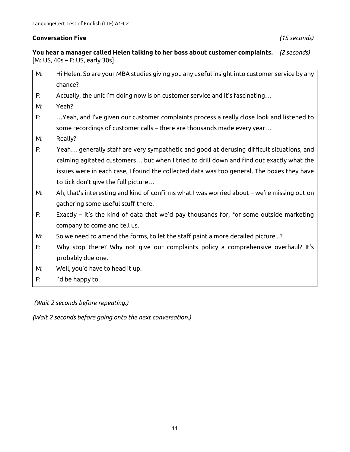#### **Conversation Five** *(15 seconds)*

**You hear a manager called Helen talking to her boss about customer complaints.** *(2 seconds)* [M: US, 40s – F: US, early 30s]

- M: Hi Helen. So are your MBA studies giving you any useful insight into customer service by any chance?
- F: Actually, the unit I'm doing now is on customer service and it's fascinating…
- M: Yeah?
- F: …Yeah, and I've given our customer complaints process a really close look and listened to some recordings of customer calls – there are thousands made every year…
- M: Really?
- F: Yeah… generally staff are very sympathetic and good at defusing difficult situations, and calming agitated customers… but when I tried to drill down and find out exactly what the issues were in each case, I found the collected data was too general. The boxes they have to tick don't give the full picture…
- M: Ah, that's interesting and kind of confirms what I was worried about we're missing out on gathering some useful stuff there.
- F: Exactly it's the kind of data that we'd pay thousands for, for some outside marketing company to come and tell us.
- M: So we need to amend the forms, to let the staff paint a more detailed picture...?
- F: Why stop there? Why not give our complaints policy a comprehensive overhaul? It's probably due one.
- M: Well, you'd have to head it up.
- F: I'd be happy to.

*(Wait 2 seconds before repeating.)*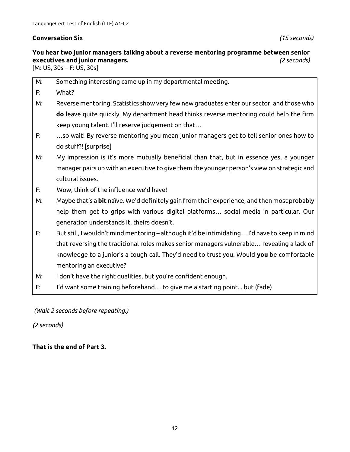#### **Conversation Six** *(15 seconds)*

# **You hear two junior managers talking about a reverse mentoring programme between senior executives and junior managers.** *(2 seconds)*

[M: US, 30s – F: US, 30s]

| M: | Something interesting came up in my departmental meeting.                                     |
|----|-----------------------------------------------------------------------------------------------|
|    |                                                                                               |
| F: | What?                                                                                         |
| M: | Reverse mentoring. Statistics show very few new graduates enter our sector, and those who     |
|    | do leave quite quickly. My department head thinks reverse mentoring could help the firm       |
|    | keep young talent. I'll reserve judgement on that                                             |
| F: | so wait! By reverse mentoring you mean junior managers get to tell senior ones how to         |
|    | do stuff?! [surprise]                                                                         |
| M: | My impression is it's more mutually beneficial than that, but in essence yes, a younger       |
|    | manager pairs up with an executive to give them the younger person's view on strategic and    |
|    | cultural issues.                                                                              |
| F: | Wow, think of the influence we'd have!                                                        |
| M: | Maybe that's a bit naïve. We'd definitely gain from their experience, and then most probably  |
|    | help them get to grips with various digital platforms social media in particular. Our         |
|    | generation understands it, theirs doesn't.                                                    |
| F: | But still, I wouldn't mind mentoring - although it'd be intimidating I'd have to keep in mind |
|    | that reversing the traditional roles makes senior managers vulnerable revealing a lack of     |
|    | knowledge to a junior's a tough call. They'd need to trust you. Would you be comfortable      |
|    | mentoring an executive?                                                                       |
| M: | I don't have the right qualities, but you're confident enough.                                |
| F: | I'd want some training beforehand to give me a starting point but (fade)                      |

*(Wait 2 seconds before repeating.)*

#### *(2 seconds)*

**That is the end of Part 3.**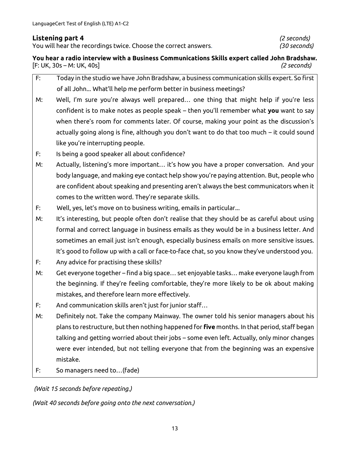#### **Listening part 4** *(2 seconds)*

You will hear the recordings twice. Choose the correct answers. *(30 seconds)*

**You hear a radio interview with a Business Communications Skills expert called John Bradshaw.** [F: UK, 30s – M: UK, 40s] *(2 seconds)*

- F: Today in the studio we have John Bradshaw, a business communication skills expert. So first of all John... What'll help me perform better in business meetings?
- M: Well, I'm sure you're always well prepared… one thing that might help if you're less confident is to make notes as people speak – then you'll remember what **you** want to say when there's room for comments later. Of course, making your point as the discussion's actually going along is fine, although you don't want to do that too much – it could sound like you're interrupting people.
- F: Is being a good speaker all about confidence?
- M: Actually, listening's more important… it's how you have a proper conversation. And your body language, and making eye contact help show you're paying attention. But, people who are confident about speaking and presenting aren't always the best communicators when it comes to the written word. They're separate skills.
- F: Well, yes, let's move on to business writing, emails in particular...
- M: It's interesting, but people often don't realise that they should be as careful about using formal and correct language in business emails as they would be in a business letter. And sometimes an email just isn't enough, especially business emails on more sensitive issues. It's good to follow up with a call or face-to-face chat, so you know they've understood you.
- F: Any advice for practising these skills?
- M: Get everyone together find a big space… set enjoyable tasks… make everyone laugh from the beginning. If they're feeling comfortable, they're more likely to be ok about making mistakes, and therefore learn more effectively.
- F: And communication skills aren't just for junior staff…
- M: Definitely not. Take the company Mainway. The owner told his senior managers about his plans to restructure, but then nothing happened for **five** months. In that period, staff began talking and getting worried about their jobs – some even left. Actually, only minor changes were ever intended, but not telling everyone that from the beginning was an expensive mistake.
- F: So managers need to…(fade)

*(Wait 15 seconds before repeating.)*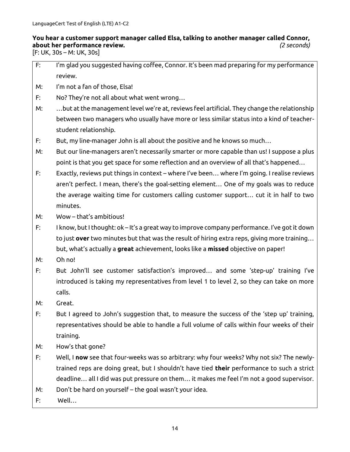## **You hear a customer support manager called Elsa, talking to another manager called Connor, about her performance review.** *(2 seconds)*

 $[$ F: UK, 30s – M: UK, 30s $]$ 

- F: I'm glad you suggested having coffee, Connor. It's been mad preparing for my performance review.
- M: I'm not a fan of those, Elsa!
- F: No? They're not all about what went wrong…
- M: …but at the management level we're at, reviews feel artificial. They change the relationship between two managers who usually have more or less similar status into a kind of teacherstudent relationship.
- F: But, my line-manager John is all about the positive and he knows so much…
- M: But our line-managers aren't necessarily smarter or more capable than us! I suppose a plus point is that you get space for some reflection and an overview of all that's happened…
- F: Exactly, reviews put things in context where I've been… where I'm going. I realise reviews aren't perfect. I mean, there's the goal-setting element… One of my goals was to reduce the average waiting time for customers calling customer support… cut it in half to two minutes.
- M: Wow that's ambitious!
- F: I know, but I thought: ok It's a great way to improve company performance. I've got it down to just **over** two minutes but that was the result of hiring extra reps, giving more training… but, what's actually a **great** achievement, looks like a **missed** objective on paper!
- M: Oh no!
- F: But John'll see customer satisfaction's improved… and some 'step-up' training I've introduced is taking my representatives from level 1 to level 2, so they can take on more calls.
- M: Great.
- F: But I agreed to John's suggestion that, to measure the success of the 'step up' training, representatives should be able to handle a full volume of calls within four weeks of their training.
- M: How's that gone?
- F: Well, I **now** see that four-weeks was so arbitrary: why four weeks? Why not six? The newlytrained reps are doing great, but I shouldn't have tied **their** performance to such a strict deadline… all I did was put pressure on them… it makes me feel I'm not a good supervisor.
- M: Don't be hard on yourself the goal wasn't your idea.
- F: Well…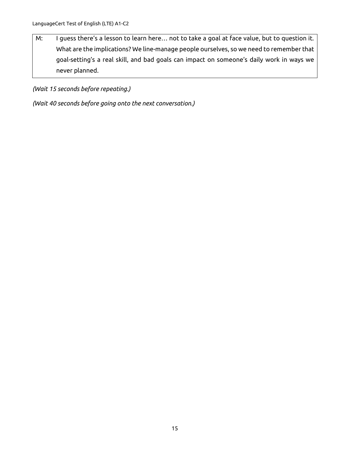M: I guess there's a lesson to learn here… not to take a goal at face value, but to question it. What are the implications? We line-manage people ourselves, so we need to remember that goal-setting's a real skill, and bad goals can impact on someone's daily work in ways we never planned.

*(Wait 15 seconds before repeating.)*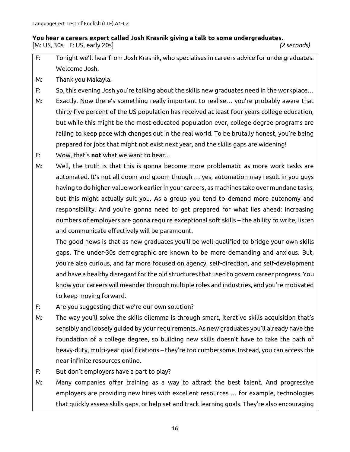#### **You hear a careers expert called Josh Krasnik giving a talk to some undergraduates.** [M: US, 30s F: US, early 20s] *(2 seconds)*

- F: Tonight we'll hear from Josh Krasnik, who specialises in careers advice for undergraduates. Welcome Josh.
- M: Thank you Makayla.
- F: So, this evening Josh you're talking about the skills new graduates need in the workplace…
- M: Exactly. Now there's something really important to realise… you're probably aware that thirty-five percent of the US population has received at least four years college education, but while this might be the most educated population ever, college degree programs are failing to keep pace with changes out in the real world. To be brutally honest, you're being prepared for jobs that might not exist next year, and the skills gaps are widening!
- F: Wow, that's **not** what we want to hear…
- M: Well, the truth is that this is gonna become more problematic as more work tasks are automated. It's not all doom and gloom though … yes, automation may result in you guys having to do higher-value work earlier in your careers, as machines take over mundane tasks, but this might actually suit you. As a group you tend to demand more autonomy and responsibility. And you're gonna need to get prepared for what lies ahead: increasing numbers of employers are gonna require exceptional soft skills – the ability to write, listen and communicate effectively will be paramount.

The good news is that as new graduates you'll be well-qualified to bridge your own skills gaps. The under-30s demographic are known to be more demanding and anxious. But, you're also curious, and far more focused on agency, self-direction, and self-development and have a healthy disregard for the old structures that used to govern career progress. You know your careers will meander through multiple roles and industries, and you're motivated to keep moving forward.

- F: Are you suggesting that we're our own solution?
- M: The way you'll solve the skills dilemma is through smart, iterative skills acquisition that's sensibly and loosely guided by your requirements. As new graduates you'll already have the foundation of a college degree, so building new skills doesn't have to take the path of heavy-duty, multi-year qualifications – they're too cumbersome. Instead, you can access the near-infinite resources online.
- F: But don't employers have a part to play?
- M: Many companies offer training as a way to attract the best talent. And progressive employers are providing new hires with excellent resources … for example, technologies that quickly assess skills gaps, or help set and track learning goals. They're also encouraging